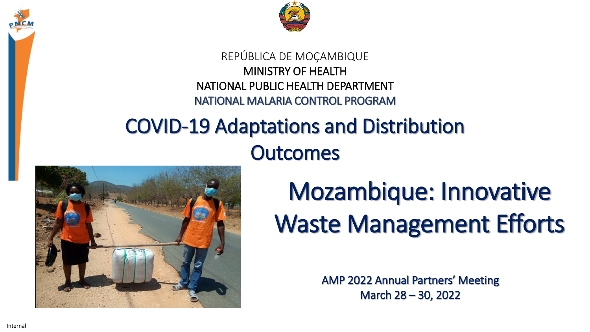



#### REPÚBLICA DE MOÇAMBIQUE MINISTRY OF HEALTH NATIONAL PUBLIC HEALTH DEPARTMENT NATIONAL MALARIA CONTROL PROGRAM

#### COVID-19 Adaptations and Distribution **Outcomes**



## Mozambique: Innovative Waste Management Efforts

AMP 2022 Annual Partners' Meeting March 28 – 30, 2022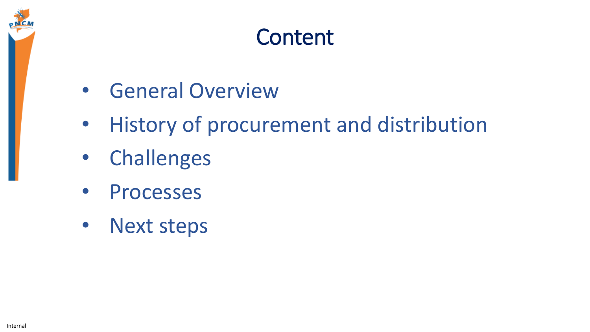

#### Content

- General Overview
- History of procurement and distribution
- Challenges
- Processes
- Next steps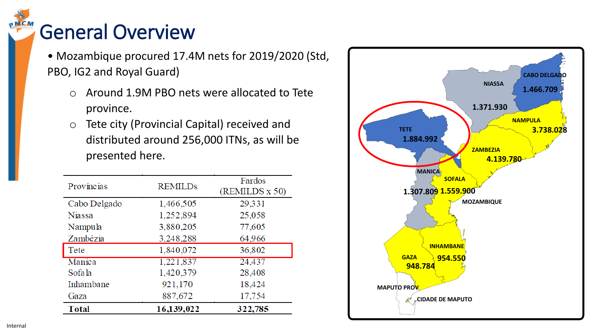### General Overview

• Mozambique procured 17.4M nets for 2019/2020 (Std, PBO, IG2 and Royal Guard)

- o Around 1.9M PBO nets were allocated to Tete province.
- o Tete city (Provincial Capital) received and distributed around 256,000 ITNs, as will be presented here.

| 16,139,022     | 322,785                  |
|----------------|--------------------------|
|                | 17,754                   |
| 921,170        | 18,424                   |
| 1,420,379      | 28,408                   |
| 1,221,837      | 24,437                   |
| 1,840,072      | 36,802                   |
| 3,248,288      | 64,966                   |
| 3,880,205      | 77,605                   |
| 1,252,894      | 25,058                   |
| 1,466,505      | 29,331                   |
| <b>REMILDs</b> | Fardos<br>(REMILDS x 50) |
|                | 887,672                  |

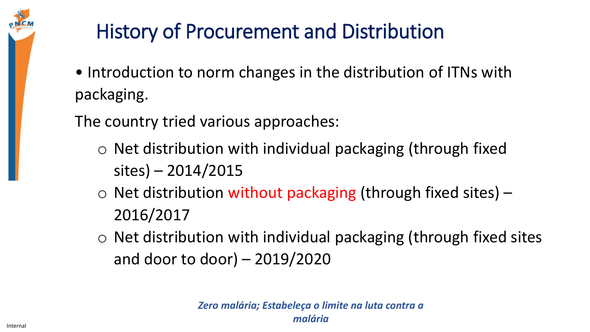### History of Procurement and Distribution

• Introduction to norm changes in the distribution of ITNs with packaging.

The country tried various approaches:

- o Net distribution with individual packaging (through fixed sites) – 2014/2015
- $\circ$  Net distribution without packaging (through fixed sites) 2016/2017
- o Net distribution with individual packaging (through fixed sites and door to door) – 2019/2020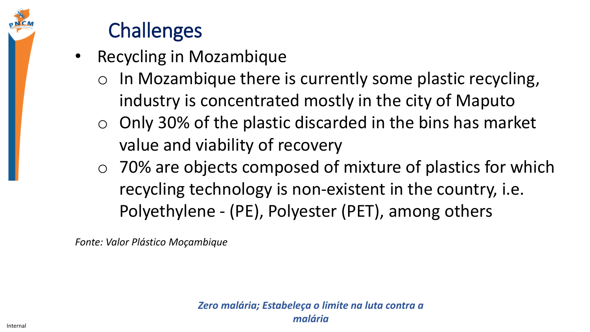#### **Challenges**

- Recycling in Mozambique
	- In Mozambique there is currently some plastic recycling, industry is concentrated mostly in the city of Maputo
	- $\circ$  Only 30% of the plastic discarded in the bins has market value and viability of recovery
	- o 70% are objects composed of mixture of plastics for which recycling technology is non-existent in the country, i.e. Polyethylene - (PE), Polyester (PET), among others

*Fonte: Valor Plástico Moçambique*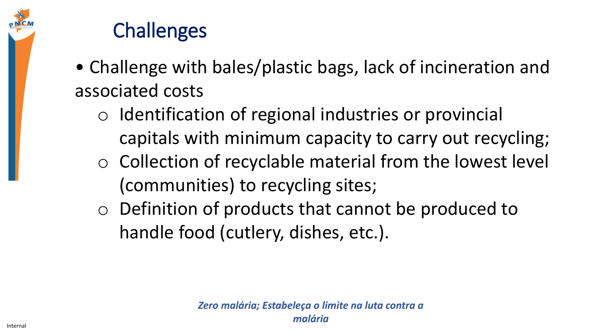

#### **Challenges**

- Challenge with bales/plastic bags, lack of incineration and associated costs
	- o Identification of regional industries or provincial capitals with minimum capacity to carry out recycling;
	- o Collection of recyclable material from the lowest level (communities) to recycling sites;
	- o Definition of products that cannot be produced to handle food (cutlery, dishes, etc.).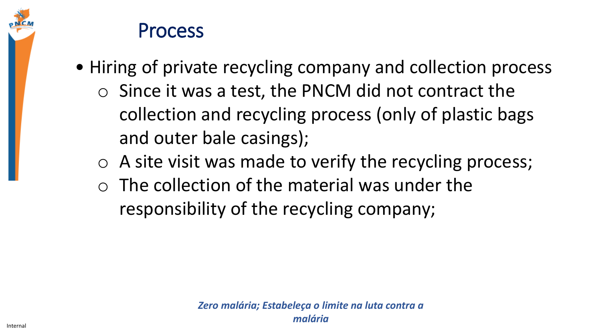

#### Process

- Hiring of private recycling company and collection process
	- $\circ$  Since it was a test, the PNCM did not contract the collection and recycling process (only of plastic bags and outer bale casings);
	- o A site visit was made to verify the recycling process;
	- $\circ$  The collection of the material was under the responsibility of the recycling company;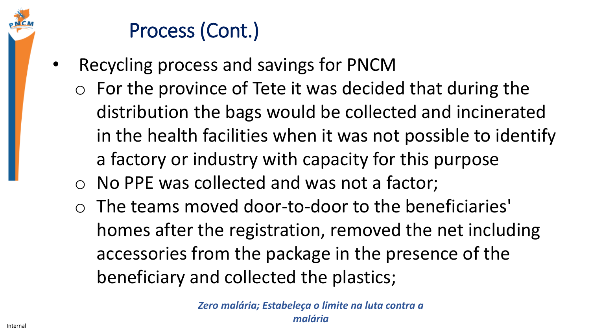#### Process (Cont.)

- Recycling process and savings for PNCM
	- $\circ$  For the province of Tete it was decided that during the distribution the bags would be collected and incinerated in the health facilities when it was not possible to identify a factory or industry with capacity for this purpose
	- o No PPE was collected and was not a factor;
	- o The teams moved door-to-door to the beneficiaries' homes after the registration, removed the net including accessories from the package in the presence of the beneficiary and collected the plastics;

*Zero malária; Estabeleça o limite na luta contra a malária*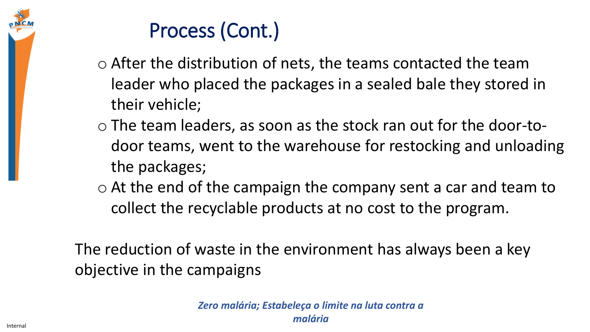#### Process (Cont.)

- o After the distribution of nets, the teams contacted the team leader who placed the packages in a sealed bale they stored in their vehicle;
- o The team leaders, as soon as the stock ran out for the door-todoor teams, went to the warehouse for restocking and unloading the packages;
- o At the end of the campaign the company sent a car and team to collect the recyclable products at no cost to the program.

The reduction of waste in the environment has always been a key objective in the campaigns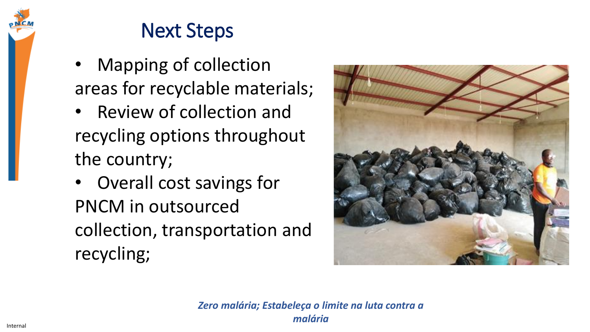#### Next Steps

- Mapping of collection areas for recyclable materials;
- Review of collection and recycling options throughout the country;
- Overall cost savings for PNCM in outsourced collection, transportation and recycling;



*Zero malária; Estabeleça o limite na luta contra a malária*